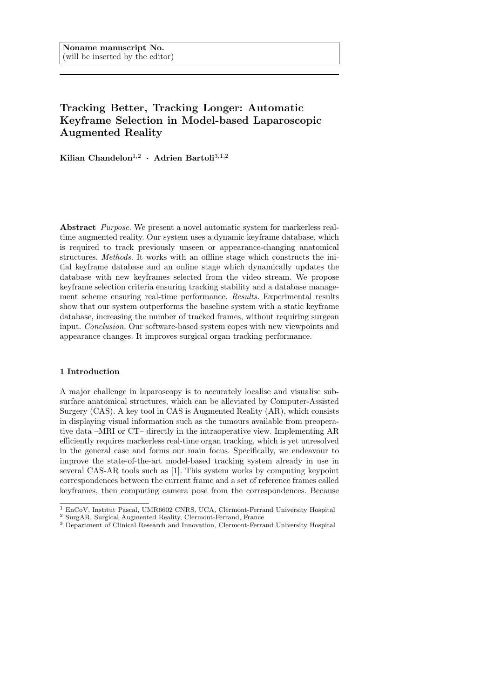# Tracking Better, Tracking Longer: Automatic Keyframe Selection in Model-based Laparoscopic Augmented Reality

Kilian Chandelon<sup>1,2</sup> · Adrien Bartoli<sup>3,1,2</sup>

Abstract Purpose. We present a novel automatic system for markerless realtime augmented reality. Our system uses a dynamic keyframe database, which is required to track previously unseen or appearance-changing anatomical structures. Methods. It works with an offline stage which constructs the initial keyframe database and an online stage which dynamically updates the database with new keyframes selected from the video stream. We propose keyframe selection criteria ensuring tracking stability and a database management scheme ensuring real-time performance. Results. Experimental results show that our system outperforms the baseline system with a static keyframe database, increasing the number of tracked frames, without requiring surgeon input. Conclusion. Our software-based system copes with new viewpoints and appearance changes. It improves surgical organ tracking performance.

## 1 Introduction

A major challenge in laparoscopy is to accurately localise and visualise subsurface anatomical structures, which can be alleviated by Computer-Assisted Surgery (CAS). A key tool in CAS is Augmented Reality (AR), which consists in displaying visual information such as the tumours available from preoperative data –MRI or CT– directly in the intraoperative view. Implementing AR efficiently requires markerless real-time organ tracking, which is yet unresolved in the general case and forms our main focus. Specifically, we endeavour to improve the state-of-the-art model-based tracking system already in use in several CAS-AR tools such as [1]. This system works by computing keypoint correspondences between the current frame and a set of reference frames called keyframes, then computing camera pose from the correspondences. Because

<sup>1</sup> EnCoV, Institut Pascal, UMR6602 CNRS, UCA, Clermont-Ferrand University Hospital

 $^2$  Surg<br/>AR, Surgical Augmented Reality, Clermont-Ferrand, France

<sup>&</sup>lt;sup>3</sup> Department of Clinical Research and Innovation, Clermont-Ferrand University Hospital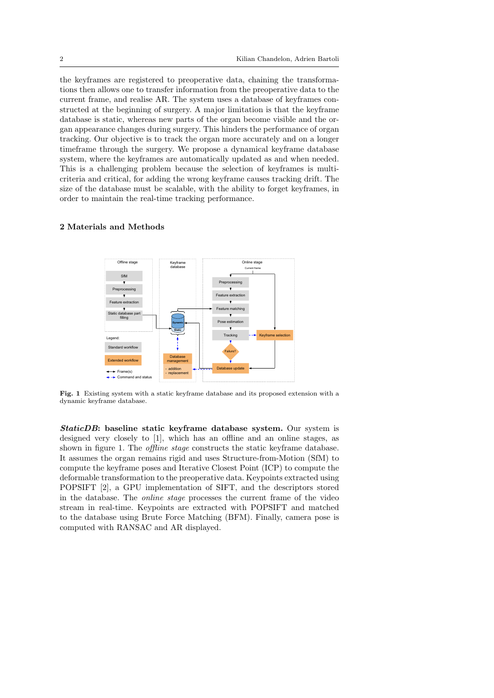the keyframes are registered to preoperative data, chaining the transformations then allows one to transfer information from the preoperative data to the current frame, and realise AR. The system uses a database of keyframes constructed at the beginning of surgery. A major limitation is that the keyframe database is static, whereas new parts of the organ become visible and the organ appearance changes during surgery. This hinders the performance of organ tracking. Our objective is to track the organ more accurately and on a longer timeframe through the surgery. We propose a dynamical keyframe database system, where the keyframes are automatically updated as and when needed. This is a challenging problem because the selection of keyframes is multicriteria and critical, for adding the wrong keyframe causes tracking drift. The size of the database must be scalable, with the ability to forget keyframes, in order to maintain the real-time tracking performance.

#### 2 Materials and Methods



Fig. 1 Existing system with a static keyframe database and its proposed extension with a dynamic keyframe database.

StaticDB: baseline static keyframe database system. Our system is designed very closely to [1], which has an offline and an online stages, as shown in figure 1. The *offline stage* constructs the static keyframe database. It assumes the organ remains rigid and uses Structure-from-Motion (SfM) to compute the keyframe poses and Iterative Closest Point (ICP) to compute the deformable transformation to the preoperative data. Keypoints extracted using POPSIFT [2], a GPU implementation of SIFT, and the descriptors stored in the database. The online stage processes the current frame of the video stream in real-time. Keypoints are extracted with POPSIFT and matched to the database using Brute Force Matching (BFM). Finally, camera pose is computed with RANSAC and AR displayed.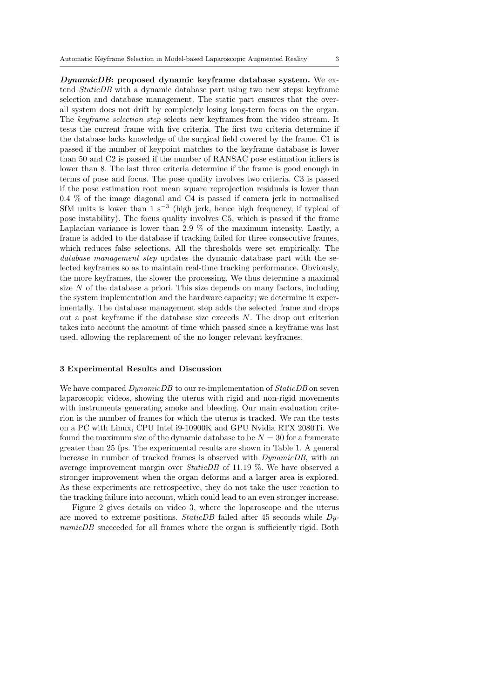DynamicDB: proposed dynamic keyframe database system. We extend StaticDB with a dynamic database part using two new steps: keyframe selection and database management. The static part ensures that the overall system does not drift by completely losing long-term focus on the organ. The keyframe selection step selects new keyframes from the video stream. It tests the current frame with five criteria. The first two criteria determine if the database lacks knowledge of the surgical field covered by the frame. C1 is passed if the number of keypoint matches to the keyframe database is lower than 50 and C2 is passed if the number of RANSAC pose estimation inliers is lower than 8. The last three criteria determine if the frame is good enough in terms of pose and focus. The pose quality involves two criteria. C3 is passed if the pose estimation root mean square reprojection residuals is lower than 0.4 % of the image diagonal and C4 is passed if camera jerk in normalised SfM units is lower than  $1 \text{ s}^{-3}$  (high jerk, hence high frequency, if typical of pose instability). The focus quality involves C5, which is passed if the frame Laplacian variance is lower than 2.9 % of the maximum intensity. Lastly, a frame is added to the database if tracking failed for three consecutive frames, which reduces false selections. All the thresholds were set empirically. The database management step updates the dynamic database part with the selected keyframes so as to maintain real-time tracking performance. Obviously, the more keyframes, the slower the processing. We thus determine a maximal size  $N$  of the database a priori. This size depends on many factors, including the system implementation and the hardware capacity; we determine it experimentally. The database management step adds the selected frame and drops out a past keyframe if the database size exceeds  $N$ . The drop out criterion takes into account the amount of time which passed since a keyframe was last used, allowing the replacement of the no longer relevant keyframes.

#### 3 Experimental Results and Discussion

We have compared  $DynamicDB$  to our re-implementation of  $StaticDB$  on seven laparoscopic videos, showing the uterus with rigid and non-rigid movements with instruments generating smoke and bleeding. Our main evaluation criterion is the number of frames for which the uterus is tracked. We ran the tests on a PC with Linux, CPU Intel i9-10900K and GPU Nvidia RTX 2080Ti. We found the maximum size of the dynamic database to be  $N = 30$  for a framerate greater than 25 fps. The experimental results are shown in Table 1. A general increase in number of tracked frames is observed with DynamicDB, with an average improvement margin over StaticDB of 11.19 %. We have observed a stronger improvement when the organ deforms and a larger area is explored. As these experiments are retrospective, they do not take the user reaction to the tracking failure into account, which could lead to an even stronger increase.

Figure 2 gives details on video 3, where the laparoscope and the uterus are moved to extreme positions. Static DB failed after 45 seconds while  $D_y$ namicDB succeeded for all frames where the organ is sufficiently rigid. Both